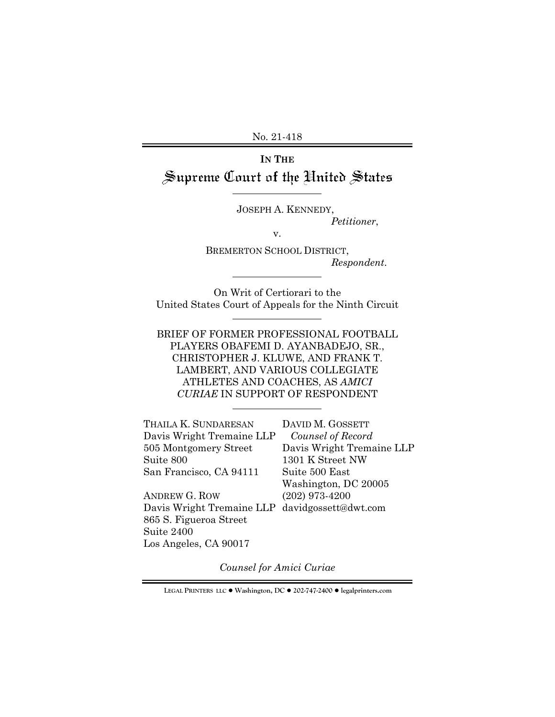No. 21-418

# **IN THE** Supreme Court of the United States

JOSEPH A. KENNEDY,

*Petitioner*,

v.

BREMERTON SCHOOL DISTRICT, *Respondent*.

On Writ of Certiorari to the United States Court of Appeals for the Ninth Circuit

BRIEF OF FORMER PROFESSIONAL FOOTBALL PLAYERS OBAFEMI D. AYANBADEJO, SR., CHRISTOPHER J. KLUWE, AND FRANK T. LAMBERT, AND VARIOUS COLLEGIATE ATHLETES AND COACHES, AS *AMICI CURIAE* IN SUPPORT OF RESPONDENT

| THAILA K. SUNDARESAN                           | DAVID M. GOSSETT          |
|------------------------------------------------|---------------------------|
| Davis Wright Tremaine LLP                      | Counsel of Record         |
| 505 Montgomery Street                          | Davis Wright Tremaine LLP |
| Suite 800                                      | 1301 K Street NW          |
| San Francisco, CA 94111                        | Suite 500 East            |
|                                                | Washington, DC 20005      |
| <b>ANDREW G. ROW</b>                           | $(202)$ 973-4200          |
| Davis Wright Tremaine LLP davidgossett@dwt.com |                           |
| 865 S. Figueroa Street                         |                           |

Suite 2400

Los Angeles, CA 90017

*Counsel for Amici Curiae* 

**LEGAL PRINTERS LLC** ! **Washington, DC** ! **202-747-2400** ! **legalprinters.com**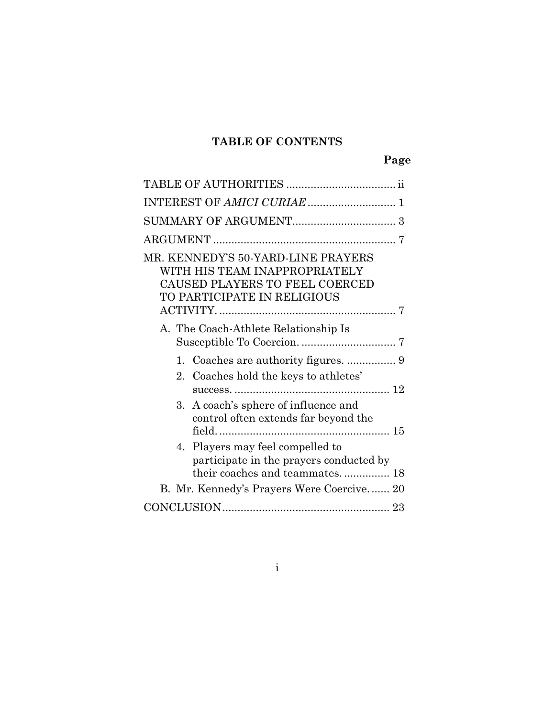# **TABLE OF CONTENTS**

| MR. KENNEDY'S 50-YARD-LINE PRAYERS<br>WITH HIS TEAM INAPPROPRIATELY<br>CAUSED PLAYERS TO FEEL COERCED<br>TO PARTICIPATE IN RELIGIOUS |
|--------------------------------------------------------------------------------------------------------------------------------------|
|                                                                                                                                      |
| A. The Coach-Athlete Relationship Is                                                                                                 |
| $1_{-}$                                                                                                                              |
| 2.<br>Coaches hold the keys to athletes'                                                                                             |
| A coach's sphere of influence and<br>3.<br>control often extends far beyond the                                                      |
| 4. Players may feel compelled to<br>participate in the prayers conducted by<br>their coaches and teammates 18                        |
| B. Mr. Kennedy's Prayers Were Coercive 20                                                                                            |
|                                                                                                                                      |

i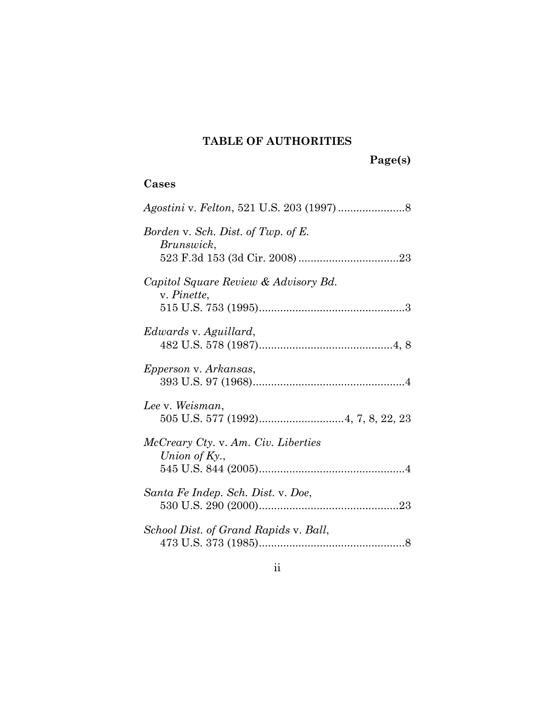# **TABLE OF AUTHORITIES**

**Page(s)** 

## **Cases**

| Borden v. Sch. Dist. of Twp. of E.<br>Brunswick,        |
|---------------------------------------------------------|
| Capitol Square Review & Advisory Bd.<br>v. Pinette,     |
| Edwards v. Aguillard,                                   |
| Epperson v. Arkansas,                                   |
| Lee v. Weisman,                                         |
| McCreary Cty. v. Am. Civ. Liberties<br>Union of $Ky.$ , |
| Santa Fe Indep. Sch. Dist. v. Doe,                      |
| School Dist. of Grand Rapids v. Ball,                   |

ii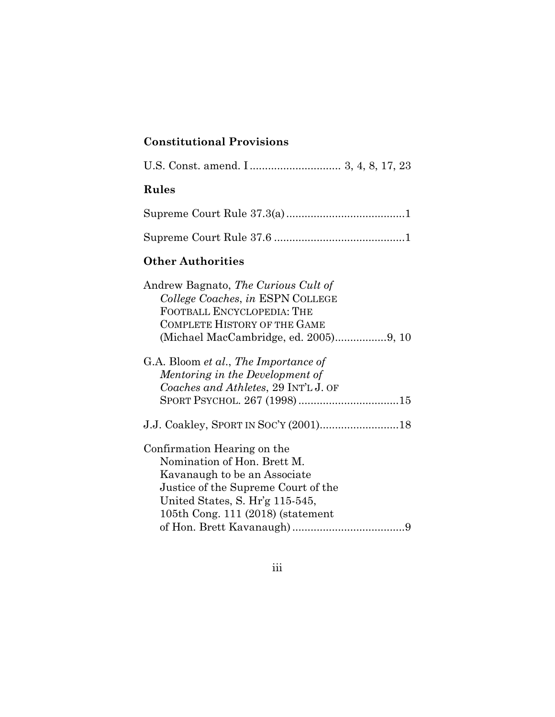# **Constitutional Provisions**

iii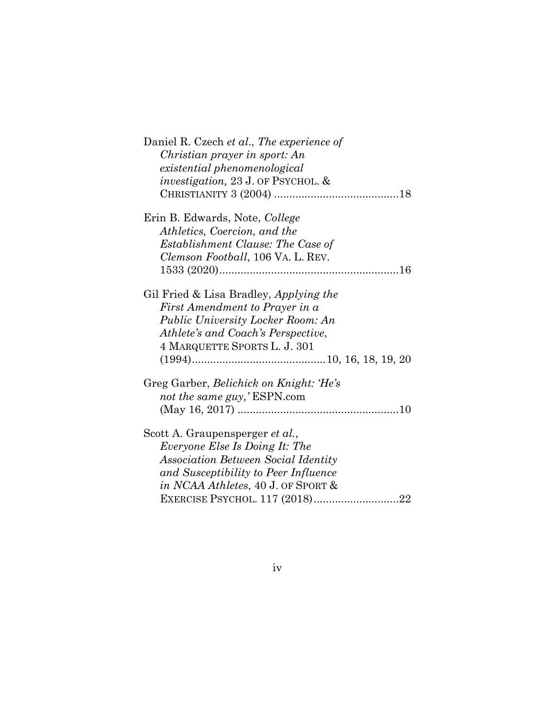| Daniel R. Czech et al., The experience of     |
|-----------------------------------------------|
| Christian prayer in sport: An                 |
| existential phenomenological                  |
| <i>investigation</i> , 23 J. OF PSYCHOL. $\&$ |
|                                               |
| Erin B. Edwards, Note, College                |
| Athletics, Coercion, and the                  |
| Establishment Clause: The Case of             |
| Clemson Football, 106 VA. L. REV.             |
|                                               |
| Gil Fried & Lisa Bradley, Applying the        |
| First Amendment to Prayer in a                |
| <b>Public University Locker Room: An</b>      |
| Athlete's and Coach's Perspective,            |
| 4 MARQUETTE SPORTS L. J. 301                  |
|                                               |
| Greg Garber, Belichick on Knight: 'He's       |
| not the same guy,'ESPN.com                    |
|                                               |
| Scott A. Graupensperger et al.,               |
| Everyone Else Is Doing It: The                |
| <b>Association Between Social Identity</b>    |
| and Susceptibility to Peer Influence          |
| in NCAA Athletes, 40 J. OF SPORT &            |
| EXERCISE PSYCHOL. 117 (2018)22                |

iv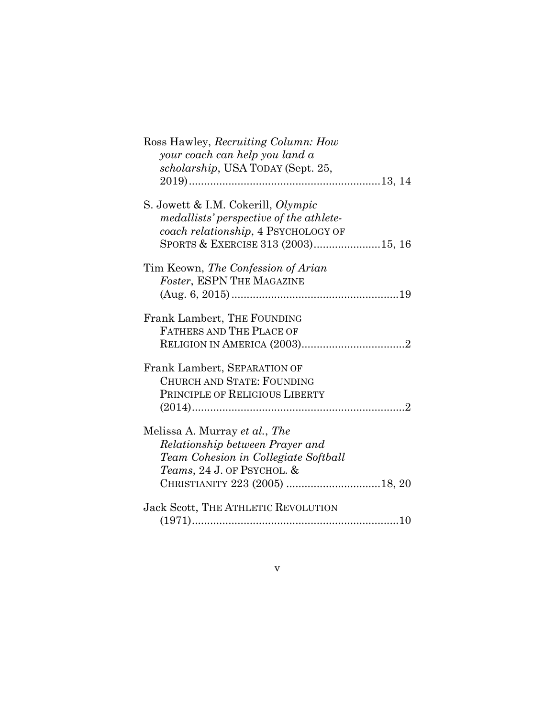| Ross Hawley, Recruiting Column: How                 |
|-----------------------------------------------------|
| your coach can help you land a                      |
| scholarship, USA TODAY (Sept. 25,                   |
|                                                     |
|                                                     |
| S. Jowett & I.M. Cokerill, Olympic                  |
| medallists' perspective of the athlete-             |
| coach relationship, 4 PSYCHOLOGY OF                 |
| SPORTS & EXERCISE 313 (2003)15, 16                  |
| Tim Keown, The Confession of Arian                  |
| Foster, ESPN THE MAGAZINE                           |
|                                                     |
|                                                     |
| Frank Lambert, THE FOUNDING                         |
| FATHERS AND THE PLACE OF                            |
|                                                     |
|                                                     |
| Frank Lambert, SEPARATION OF                        |
| <b>CHURCH AND STATE: FOUNDING</b>                   |
| PRINCIPLE OF RELIGIOUS LIBERTY                      |
|                                                     |
| Melissa A. Murray et al., The                       |
|                                                     |
| Relationship between Prayer and                     |
| Team Cohesion in Collegiate Softball                |
| <i>Teams, 24 J. OF PSYCHOL. <math>\&amp;</math></i> |
| CHRISTIANITY 223 (2005) 18, 20                      |
| <b>Jack Scott, THE ATHLETIC REVOLUTION</b>          |
|                                                     |
|                                                     |

## v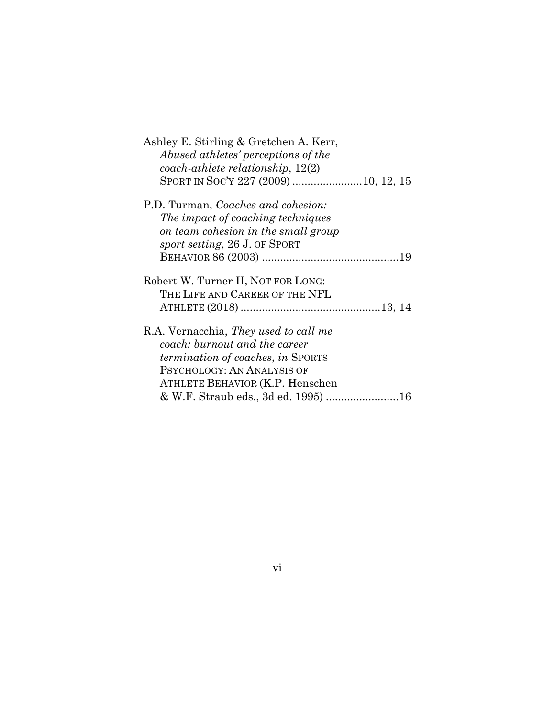| Ashley E. Stirling & Gretchen A. Kerr,       |
|----------------------------------------------|
| Abused athletes' perceptions of the          |
| $coach\text{-}athlete\, relationship, 12(2)$ |
| SPORT IN SOC'Y 227 (2009) 10, 12, 15         |
| P.D. Turman, <i>Coaches and cohesion:</i>    |
| The impact of coaching techniques            |
| on team cohesion in the small group          |
| sport setting, 26 J. OF SPORT                |
|                                              |
|                                              |
| Robert W. Turner II, NOT FOR LONG:           |
| THE LIFE AND CAREER OF THE NFL               |
|                                              |
| R.A. Vernacchia, <i>They used to call me</i> |
| coach: burnout and the career                |
| termination of coaches, in SPORTS            |
| PSYCHOLOGY: AN ANALYSIS OF                   |
|                                              |
| ATHLETE BEHAVIOR (K.P. Henschen              |
| & W.F. Straub eds., 3d ed. 1995) 16          |

# vi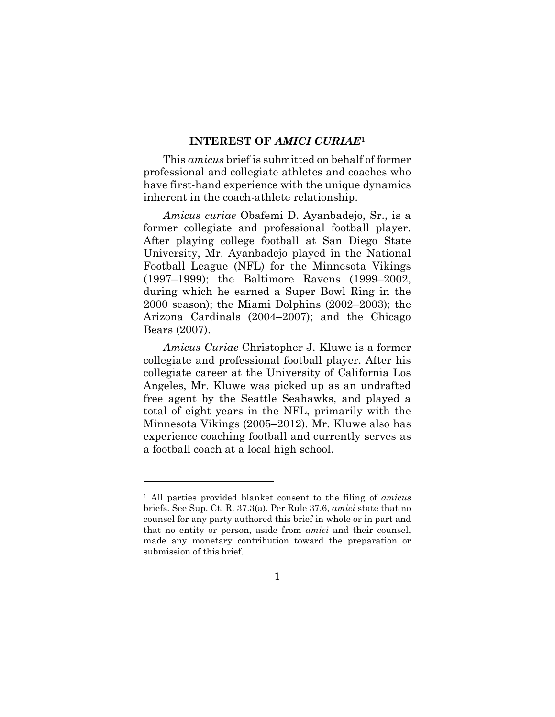#### **INTEREST OF** *AMICI CURIAE***<sup>1</sup>**

This *amicus* brief is submitted on behalf of former professional and collegiate athletes and coaches who have first-hand experience with the unique dynamics inherent in the coach-athlete relationship.

*Amicus curiae* Obafemi D. Ayanbadejo, Sr., is a former collegiate and professional football player. After playing college football at San Diego State University, Mr. Ayanbadejo played in the National Football League (NFL) for the Minnesota Vikings (1997–1999); the Baltimore Ravens (1999–2002, during which he earned a Super Bowl Ring in the 2000 season); the Miami Dolphins (2002–2003); the Arizona Cardinals (2004–2007); and the Chicago Bears (2007).

*Amicus Curiae* Christopher J. Kluwe is a former collegiate and professional football player. After his collegiate career at the University of California Los Angeles, Mr. Kluwe was picked up as an undrafted free agent by the Seattle Seahawks, and played a total of eight years in the NFL, primarily with the Minnesota Vikings (2005–2012). Mr. Kluwe also has experience coaching football and currently serves as a football coach at a local high school.

<sup>1</sup> All parties provided blanket consent to the filing of *amicus*  briefs. See Sup. Ct. R. 37.3(a). Per Rule 37.6, *amici* state that no counsel for any party authored this brief in whole or in part and that no entity or person, aside from *amici* and their counsel, made any monetary contribution toward the preparation or submission of this brief.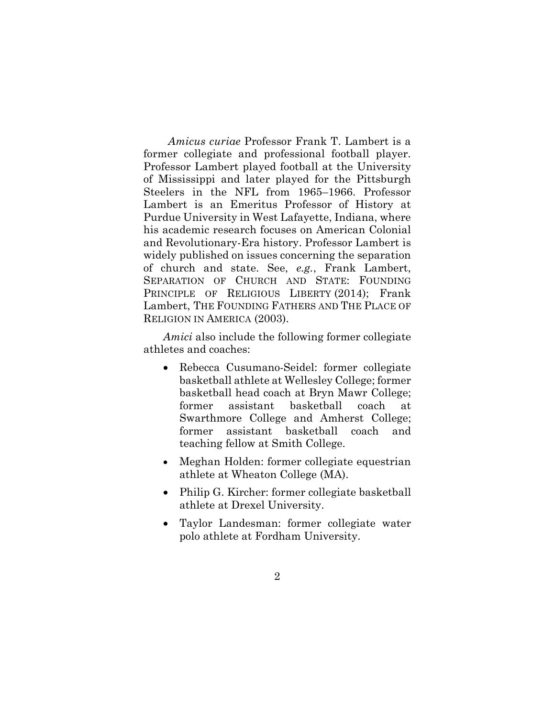*Amicus curiae* Professor Frank T. Lambert is a former collegiate and professional football player. Professor Lambert played football at the University of Mississippi and later played for the Pittsburgh Steelers in the NFL from 1965–1966. Professor Lambert is an Emeritus Professor of History at Purdue University in West Lafayette, Indiana, where his academic research focuses on American Colonial and Revolutionary-Era history. Professor Lambert is widely published on issues concerning the separation of church and state. See, *e.g.*, Frank Lambert, SEPARATION OF CHURCH AND STATE: FOUNDING PRINCIPLE OF RELIGIOUS LIBERTY (2014); Frank Lambert, THE FOUNDING FATHERS AND THE PLACE OF RELIGION IN AMERICA (2003).

*Amici* also include the following former collegiate athletes and coaches:

- Rebecca Cusumano-Seidel: former collegiate basketball athlete at Wellesley College; former basketball head coach at Bryn Mawr College; former assistant basketball coach at Swarthmore College and Amherst College; former assistant basketball coach and teaching fellow at Smith College.
- Meghan Holden: former collegiate equestrian athlete at Wheaton College (MA).
- Philip G. Kircher: former collegiate basketball athlete at Drexel University.
- Taylor Landesman: former collegiate water polo athlete at Fordham University.
	- 2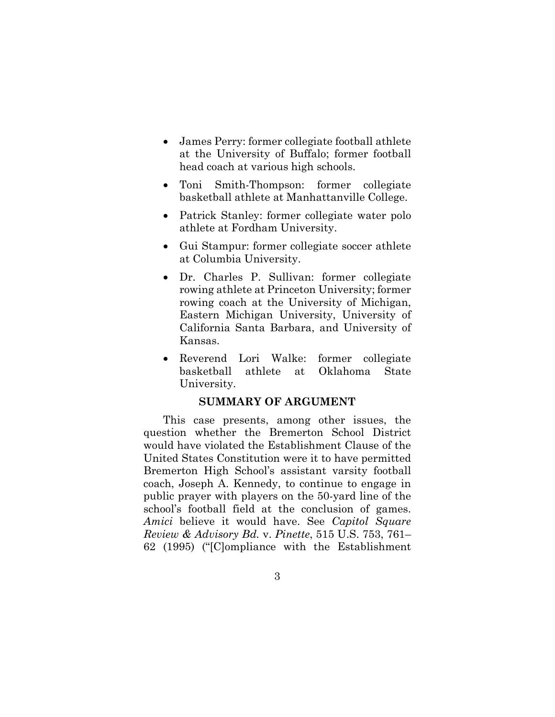- James Perry: former collegiate football athlete at the University of Buffalo; former football head coach at various high schools.
- Toni Smith-Thompson: former collegiate basketball athlete at Manhattanville College.
- Patrick Stanley: former collegiate water polo athlete at Fordham University.
- Gui Stampur: former collegiate soccer athlete at Columbia University.
- Dr. Charles P. Sullivan: former collegiate rowing athlete at Princeton University; former rowing coach at the University of Michigan, Eastern Michigan University, University of California Santa Barbara, and University of Kansas.
- Reverend Lori Walke: former collegiate basketball athlete at Oklahoma State University.

#### **SUMMARY OF ARGUMENT**

This case presents, among other issues, the question whether the Bremerton School District would have violated the Establishment Clause of the United States Constitution were it to have permitted Bremerton High School's assistant varsity football coach, Joseph A. Kennedy, to continue to engage in public prayer with players on the 50-yard line of the school's football field at the conclusion of games. *Amici* believe it would have. See *Capitol Square Review & Advisory Bd.* v. *Pinette*, 515 U.S. 753, 761– 62 (1995) ("[C]ompliance with the Establishment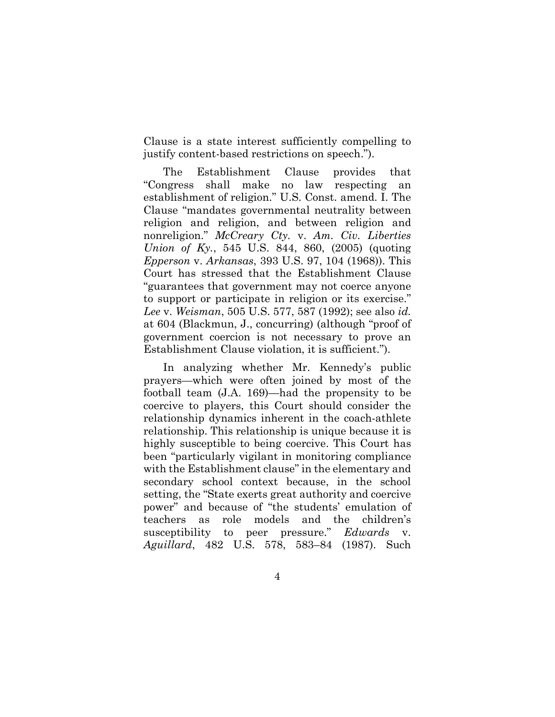Clause is a state interest sufficiently compelling to justify content-based restrictions on speech.").

The Establishment Clause provides that "Congress shall make no law respecting an establishment of religion." U.S. Const. amend. I. The Clause "mandates governmental neutrality between religion and religion, and between religion and nonreligion." *McCreary Cty.* v. *Am. Civ. Liberties Union of Ky.*, 545 U.S. 844, 860, (2005) (quoting *Epperson* v. *Arkansas*, 393 U.S. 97, 104 (1968)). This Court has stressed that the Establishment Clause "guarantees that government may not coerce anyone to support or participate in religion or its exercise." *Lee* v. *Weisman*, 505 U.S. 577, 587 (1992); see also *id.*  at 604 (Blackmun, J., concurring) (although "proof of government coercion is not necessary to prove an Establishment Clause violation, it is sufficient.").

In analyzing whether Mr. Kennedy's public prayers—which were often joined by most of the football team (J.A. 169)—had the propensity to be coercive to players, this Court should consider the relationship dynamics inherent in the coach-athlete relationship. This relationship is unique because it is highly susceptible to being coercive. This Court has been "particularly vigilant in monitoring compliance with the Establishment clause" in the elementary and secondary school context because, in the school setting, the "State exerts great authority and coercive power" and because of "the students' emulation of teachers as role models and the children's susceptibility to peer pressure." *Edwards Aguillard*, 482 U.S. 578, 583–84 (1987). Such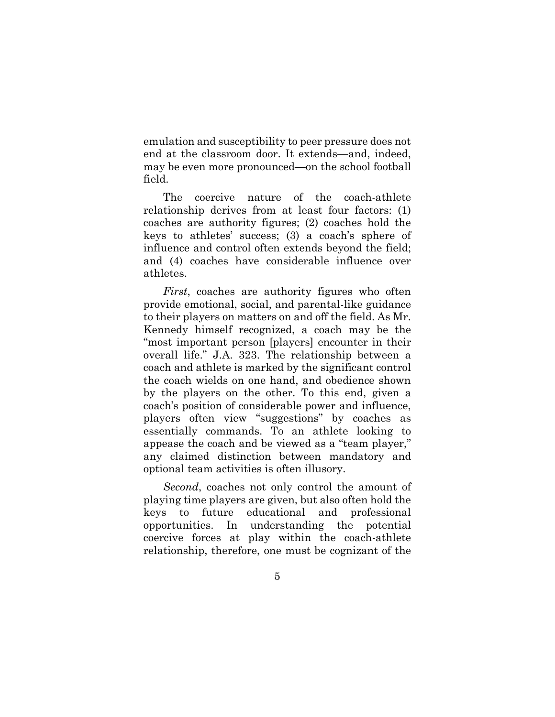emulation and susceptibility to peer pressure does not end at the classroom door. It extends—and, indeed, may be even more pronounced—on the school football field.

The coercive nature of the coach-athlete relationship derives from at least four factors: (1) coaches are authority figures; (2) coaches hold the keys to athletes' success; (3) a coach's sphere of influence and control often extends beyond the field; and (4) coaches have considerable influence over athletes.

*First*, coaches are authority figures who often provide emotional, social, and parental-like guidance to their players on matters on and off the field. As Mr. Kennedy himself recognized, a coach may be the "most important person [players] encounter in their overall life." J.A. 323. The relationship between a coach and athlete is marked by the significant control the coach wields on one hand, and obedience shown by the players on the other. To this end, given a coach's position of considerable power and influence, players often view "suggestions" by coaches as essentially commands. To an athlete looking to appease the coach and be viewed as a "team player," any claimed distinction between mandatory and optional team activities is often illusory.

*Second*, coaches not only control the amount of playing time players are given, but also often hold the keys to future educational and professional opportunities. In understanding the potential coercive forces at play within the coach-athlete relationship, therefore, one must be cognizant of the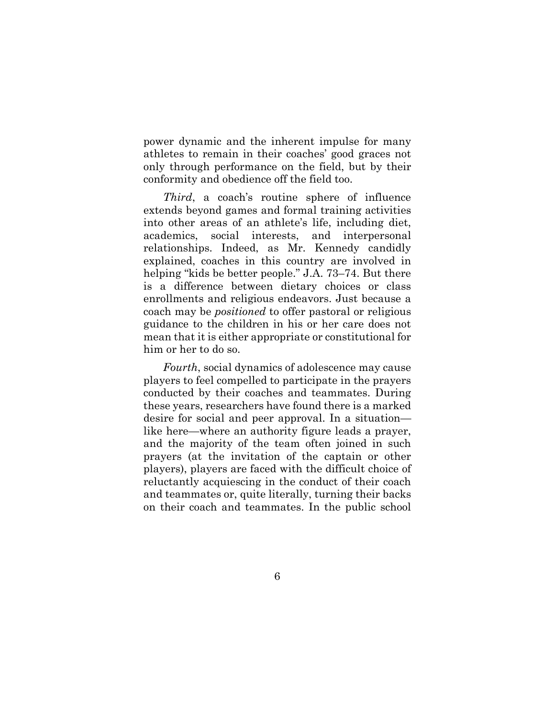power dynamic and the inherent impulse for many athletes to remain in their coaches' good graces not only through performance on the field, but by their conformity and obedience off the field too.

*Third*, a coach's routine sphere of influence extends beyond games and formal training activities into other areas of an athlete's life, including diet, academics, social interests, and interpersonal relationships. Indeed, as Mr. Kennedy candidly explained, coaches in this country are involved in helping "kids be better people." J.A. 73–74. But there is a difference between dietary choices or class enrollments and religious endeavors. Just because a coach may be *positioned* to offer pastoral or religious guidance to the children in his or her care does not mean that it is either appropriate or constitutional for him or her to do so.

*Fourth*, social dynamics of adolescence may cause players to feel compelled to participate in the prayers conducted by their coaches and teammates. During these years, researchers have found there is a marked desire for social and peer approval. In a situation like here—where an authority figure leads a prayer, and the majority of the team often joined in such prayers (at the invitation of the captain or other players), players are faced with the difficult choice of reluctantly acquiescing in the conduct of their coach and teammates or, quite literally, turning their backs on their coach and teammates. In the public school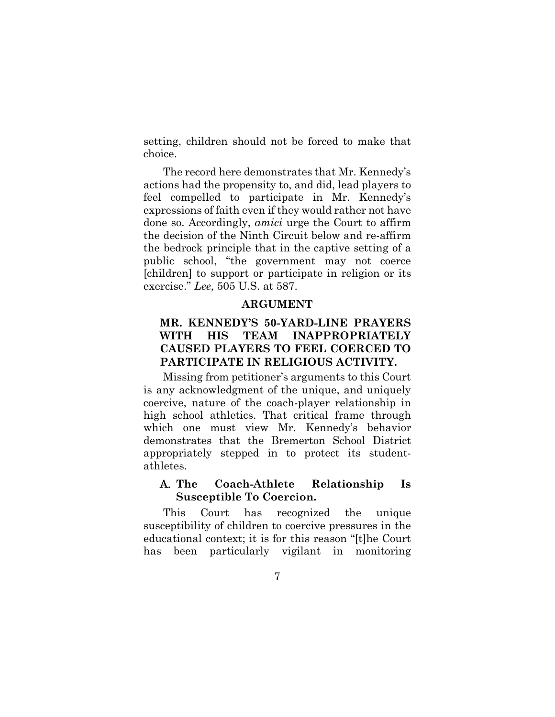setting, children should not be forced to make that choice.

The record here demonstrates that Mr. Kennedy's actions had the propensity to, and did, lead players to feel compelled to participate in Mr. Kennedy's expressions of faith even if they would rather not have done so. Accordingly, *amici* urge the Court to affirm the decision of the Ninth Circuit below and re-affirm the bedrock principle that in the captive setting of a public school, "the government may not coerce [children] to support or participate in religion or its exercise." *Lee*, 505 U.S. at 587.

#### **ARGUMENT**

## **MR. KENNEDY'S 50-YARD-LINE PRAYERS WITH HIS TEAM INAPPROPRIATELY CAUSED PLAYERS TO FEEL COERCED TO PARTICIPATE IN RELIGIOUS ACTIVITY.**

Missing from petitioner's arguments to this Court is any acknowledgment of the unique, and uniquely coercive, nature of the coach-player relationship in high school athletics. That critical frame through which one must view Mr. Kennedy's behavior demonstrates that the Bremerton School District appropriately stepped in to protect its studentathletes.

### A. **The Coach-Athlete Relationship Is Susceptible To Coercion.**

This Court has recognized the unique susceptibility of children to coercive pressures in the educational context; it is for this reason "[t]he Court has been particularly vigilant in monitoring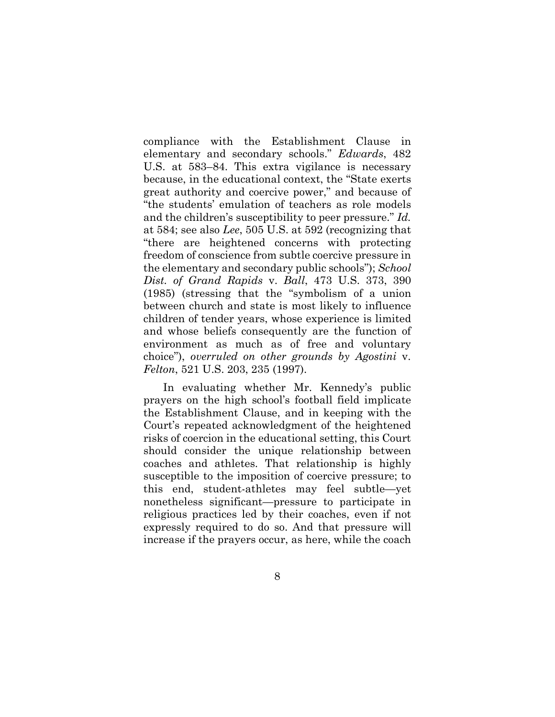compliance with the Establishment Clause in elementary and secondary schools." *Edwards*, 482 U.S. at 583–84. This extra vigilance is necessary because, in the educational context, the "State exerts great authority and coercive power," and because of "the students' emulation of teachers as role models and the children's susceptibility to peer pressure." *Id.*  at 584; see also *Lee*, 505 U.S. at 592 (recognizing that "there are heightened concerns with protecting freedom of conscience from subtle coercive pressure in the elementary and secondary public schools"); *School Dist. of Grand Rapids* v. *Ball*, 473 U.S. 373, 390 (1985) (stressing that the "symbolism of a union between church and state is most likely to influence children of tender years, whose experience is limited and whose beliefs consequently are the function of environment as much as of free and voluntary choice"), *overruled on other grounds by Agostini* v. *Felton*, 521 U.S. 203, 235 (1997).

In evaluating whether Mr. Kennedy's public prayers on the high school's football field implicate the Establishment Clause, and in keeping with the Court's repeated acknowledgment of the heightened risks of coercion in the educational setting, this Court should consider the unique relationship between coaches and athletes. That relationship is highly susceptible to the imposition of coercive pressure; to this end, student-athletes may feel subtle—yet nonetheless significant—pressure to participate in religious practices led by their coaches, even if not expressly required to do so. And that pressure will increase if the prayers occur, as here, while the coach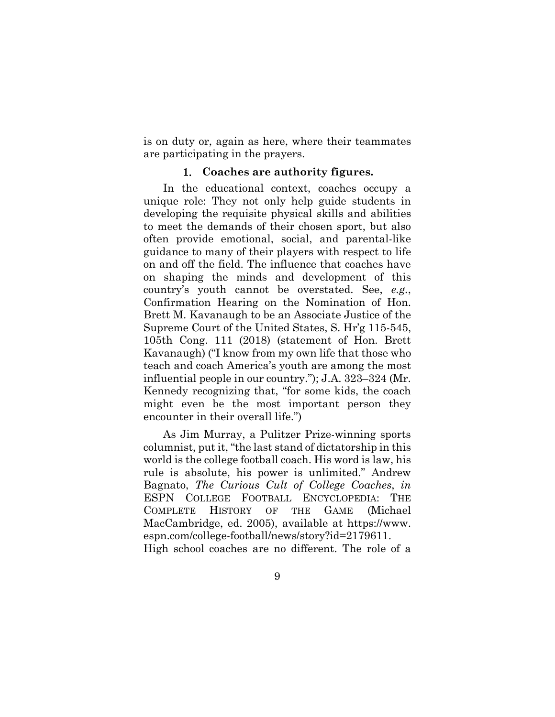is on duty or, again as here, where their teammates are participating in the prayers.

#### 1. **Coaches are authority figures.**

In the educational context, coaches occupy a unique role: They not only help guide students in developing the requisite physical skills and abilities to meet the demands of their chosen sport, but also often provide emotional, social, and parental-like guidance to many of their players with respect to life on and off the field. The influence that coaches have on shaping the minds and development of this country's youth cannot be overstated. See, *e.g.*, Confirmation Hearing on the Nomination of Hon. Brett M. Kavanaugh to be an Associate Justice of the Supreme Court of the United States, S. Hr'g 115-545, 105th Cong. 111 (2018) (statement of Hon. Brett Kavanaugh) ("I know from my own life that those who teach and coach America's youth are among the most influential people in our country."); J.A. 323–324 (Mr. Kennedy recognizing that, "for some kids, the coach might even be the most important person they encounter in their overall life.")

As Jim Murray, a Pulitzer Prize-winning sports columnist, put it, "the last stand of dictatorship in this world is the college football coach. His word is law, his rule is absolute, his power is unlimited." Andrew Bagnato, *The Curious Cult of College Coaches*, *in*  ESPN COLLEGE FOOTBALL ENCYCLOPEDIA: THE COMPLETE HISTORY OF THE GAME (Michael MacCambridge, ed. 2005), available at https://www. espn.com/college-football/news/story?id=2179611. High school coaches are no different. The role of a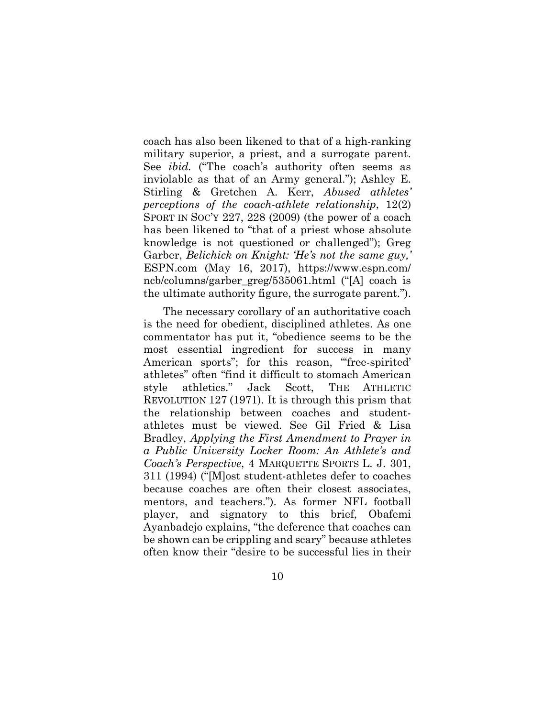coach has also been likened to that of a high-ranking military superior, a priest, and a surrogate parent. See *ibid.* ("The coach's authority often seems as inviolable as that of an Army general."); Ashley E. Stirling & Gretchen A. Kerr, *Abused athletes' perceptions of the coach-athlete relationship*, 12(2) SPORT IN SOC'Y 227, 228 (2009) (the power of a coach has been likened to "that of a priest whose absolute knowledge is not questioned or challenged"); Greg Garber, *Belichick on Knight: 'He's not the same guy,'* ESPN.com (May 16, 2017), https://www.espn.com/ ncb/columns/garber\_greg/535061.html ("[A] coach is the ultimate authority figure, the surrogate parent.").

The necessary corollary of an authoritative coach is the need for obedient, disciplined athletes. As one commentator has put it, "obedience seems to be the most essential ingredient for success in many American sports"; for this reason, "free-spirited" athletes" often "find it difficult to stomach American style athletics." Jack Scott, THE ATHLETIC REVOLUTION 127 (1971). It is through this prism that the relationship between coaches and studentathletes must be viewed. See Gil Fried & Lisa Bradley, *Applying the First Amendment to Prayer in a Public University Locker Room: An Athlete's and Coach's Perspective*, 4 MARQUETTE SPORTS L. J. 301, 311 (1994) ("[M]ost student-athletes defer to coaches because coaches are often their closest associates, mentors, and teachers."). As former NFL football player, and signatory to this brief, Obafemi Ayanbadejo explains, "the deference that coaches can be shown can be crippling and scary" because athletes often know their "desire to be successful lies in their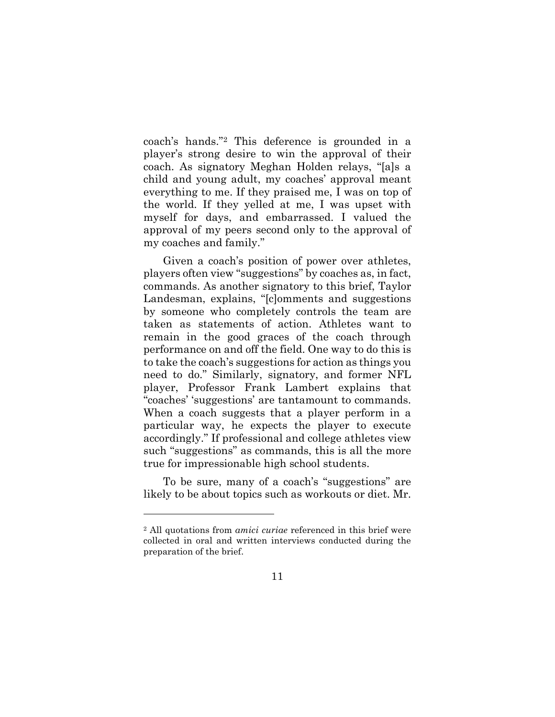coach's hands."2 This deference is grounded in a player's strong desire to win the approval of their coach. As signatory Meghan Holden relays, "[a]s a child and young adult, my coaches' approval meant everything to me. If they praised me, I was on top of the world. If they yelled at me, I was upset with myself for days, and embarrassed. I valued the approval of my peers second only to the approval of my coaches and family."

Given a coach's position of power over athletes, players often view "suggestions" by coaches as, in fact, commands. As another signatory to this brief, Taylor Landesman, explains, "[c]omments and suggestions by someone who completely controls the team are taken as statements of action. Athletes want to remain in the good graces of the coach through performance on and off the field. One way to do this is to take the coach's suggestions for action as things you need to do." Similarly, signatory, and former NFL player, Professor Frank Lambert explains that "coaches' 'suggestions' are tantamount to commands. When a coach suggests that a player perform in a particular way, he expects the player to execute accordingly." If professional and college athletes view such "suggestions" as commands, this is all the more true for impressionable high school students.

To be sure, many of a coach's "suggestions" are likely to be about topics such as workouts or diet. Mr.

<sup>2</sup> All quotations from *amici curiae* referenced in this brief were collected in oral and written interviews conducted during the preparation of the brief.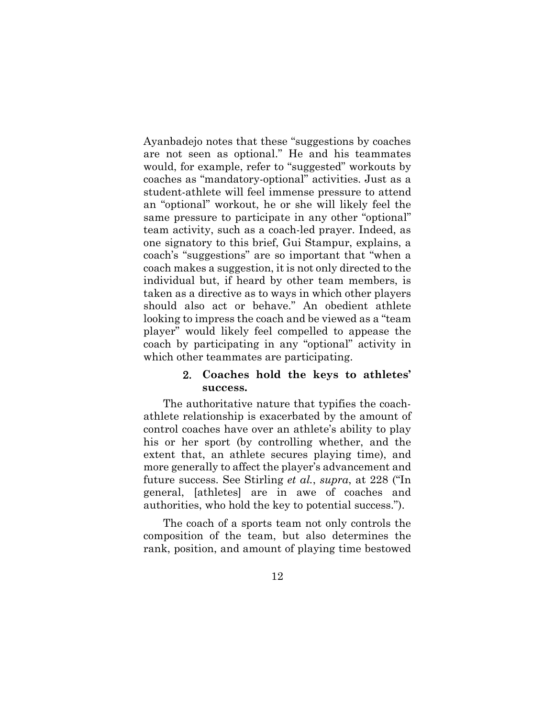Ayanbadejo notes that these "suggestions by coaches are not seen as optional." He and his teammates would, for example, refer to "suggested" workouts by coaches as "mandatory-optional" activities. Just as a student-athlete will feel immense pressure to attend an "optional" workout, he or she will likely feel the same pressure to participate in any other "optional" team activity, such as a coach-led prayer. Indeed, as one signatory to this brief, Gui Stampur, explains, a coach's "suggestions" are so important that "when a coach makes a suggestion, it is not only directed to the individual but, if heard by other team members, is taken as a directive as to ways in which other players should also act or behave." An obedient athlete looking to impress the coach and be viewed as a "team player" would likely feel compelled to appease the coach by participating in any "optional" activity in which other teammates are participating.

### 2. **Coaches hold the keys to athletes' success.**

The authoritative nature that typifies the coachathlete relationship is exacerbated by the amount of control coaches have over an athlete's ability to play his or her sport (by controlling whether, and the extent that, an athlete secures playing time), and more generally to affect the player's advancement and future success. See Stirling *et al.*, *supra*, at 228 ("In general, [athletes] are in awe of coaches and authorities, who hold the key to potential success.").

The coach of a sports team not only controls the composition of the team, but also determines the rank, position, and amount of playing time bestowed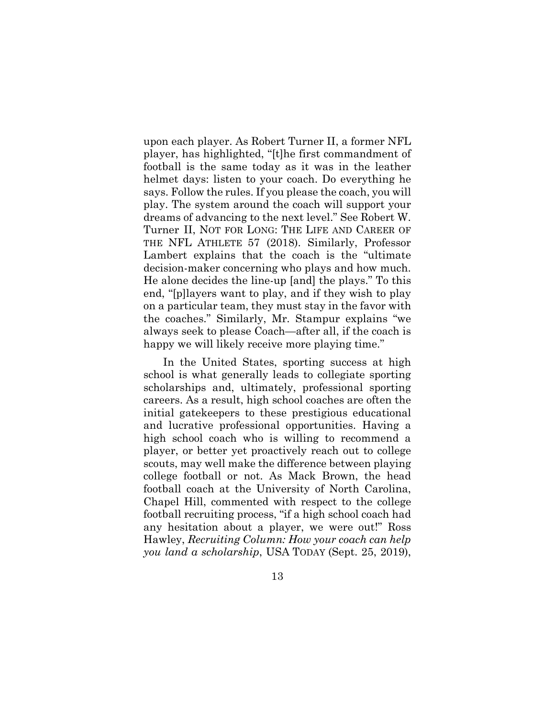upon each player. As Robert Turner II, a former NFL player, has highlighted, "[t]he first commandment of football is the same today as it was in the leather helmet days: listen to your coach. Do everything he says. Follow the rules. If you please the coach, you will play. The system around the coach will support your dreams of advancing to the next level." See Robert W. Turner II, NOT FOR LONG: THE LIFE AND CAREER OF THE NFL ATHLETE 57 (2018). Similarly, Professor Lambert explains that the coach is the "ultimate decision-maker concerning who plays and how much. He alone decides the line-up [and] the plays." To this end, "[p]layers want to play, and if they wish to play on a particular team, they must stay in the favor with the coaches." Similarly, Mr. Stampur explains "we always seek to please Coach—after all, if the coach is happy we will likely receive more playing time."

In the United States, sporting success at high school is what generally leads to collegiate sporting scholarships and, ultimately, professional sporting careers. As a result, high school coaches are often the initial gatekeepers to these prestigious educational and lucrative professional opportunities. Having a high school coach who is willing to recommend a player, or better yet proactively reach out to college scouts, may well make the difference between playing college football or not. As Mack Brown, the head football coach at the University of North Carolina, Chapel Hill, commented with respect to the college football recruiting process, "if a high school coach had any hesitation about a player, we were out!" Ross Hawley, *Recruiting Column: How your coach can help you land a scholarship*, USA TODAY (Sept. 25, 2019),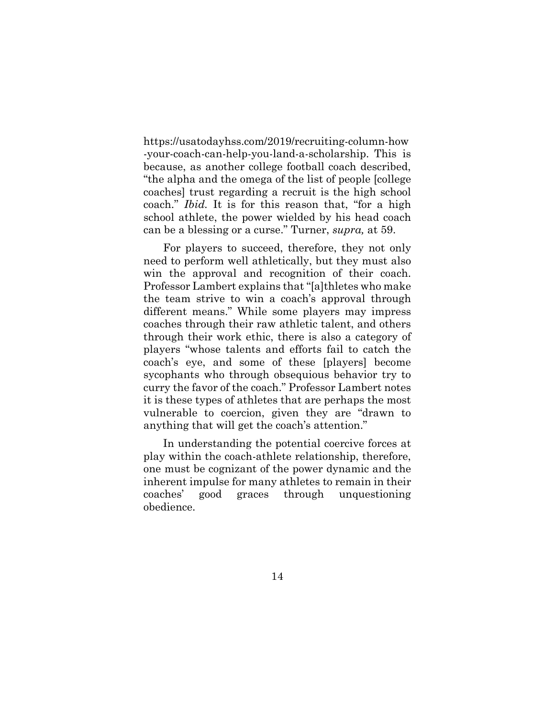https://usatodayhss.com/2019/recruiting-column-how -your-coach-can-help-you-land-a-scholarship. This is because, as another college football coach described, "the alpha and the omega of the list of people [college coaches] trust regarding a recruit is the high school coach." *Ibid.* It is for this reason that, "for a high school athlete, the power wielded by his head coach can be a blessing or a curse." Turner, *supra,* at 59.

For players to succeed, therefore, they not only need to perform well athletically, but they must also win the approval and recognition of their coach. Professor Lambert explains that "[a]thletes who make the team strive to win a coach's approval through different means." While some players may impress coaches through their raw athletic talent, and others through their work ethic, there is also a category of players "whose talents and efforts fail to catch the coach's eye, and some of these [players] become sycophants who through obsequious behavior try to curry the favor of the coach." Professor Lambert notes it is these types of athletes that are perhaps the most vulnerable to coercion, given they are "drawn to anything that will get the coach's attention."

In understanding the potential coercive forces at play within the coach-athlete relationship, therefore, one must be cognizant of the power dynamic and the inherent impulse for many athletes to remain in their coaches' good graces through unquestioning obedience.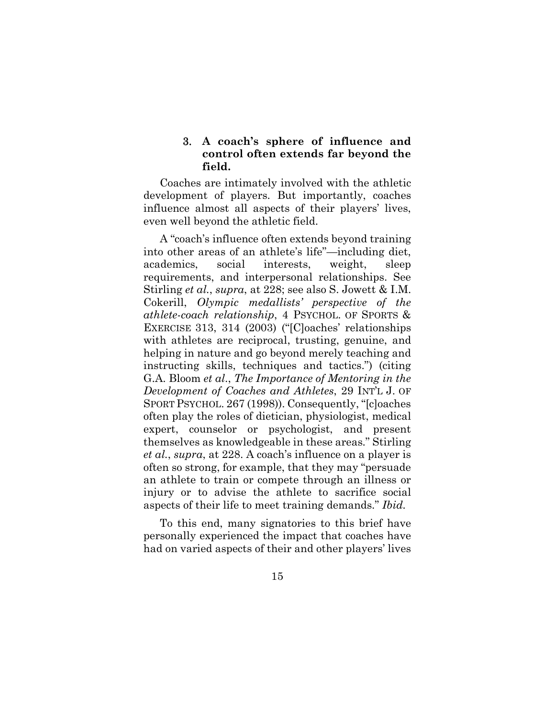### 3. **A coach's sphere of influence and control often extends far beyond the field.**

Coaches are intimately involved with the athletic development of players. But importantly, coaches influence almost all aspects of their players' lives, even well beyond the athletic field.

A "coach's influence often extends beyond training into other areas of an athlete's life"—including diet, academics, social interests, weight, sleep requirements, and interpersonal relationships. See Stirling *et al.*, *supra*, at 228; see also S. Jowett & I.M. Cokerill, *Olympic medallists' perspective of the athlete-coach relationship*, 4 PSYCHOL. OF SPORTS & EXERCISE 313, 314 (2003) ("[C]oaches' relationships with athletes are reciprocal, trusting, genuine, and helping in nature and go beyond merely teaching and instructing skills, techniques and tactics.") (citing G.A. Bloom *et al*., *The Importance of Mentoring in the Development of Coaches and Athletes*, 29 INT'L J. OF SPORT PSYCHOL. 267 (1998)). Consequently, "[c]oaches often play the roles of dietician, physiologist, medical expert, counselor or psychologist, and present themselves as knowledgeable in these areas." Stirling *et al.*, *supra*, at 228. A coach's influence on a player is often so strong, for example, that they may "persuade an athlete to train or compete through an illness or injury or to advise the athlete to sacrifice social aspects of their life to meet training demands." *Ibid.*

To this end, many signatories to this brief have personally experienced the impact that coaches have had on varied aspects of their and other players' lives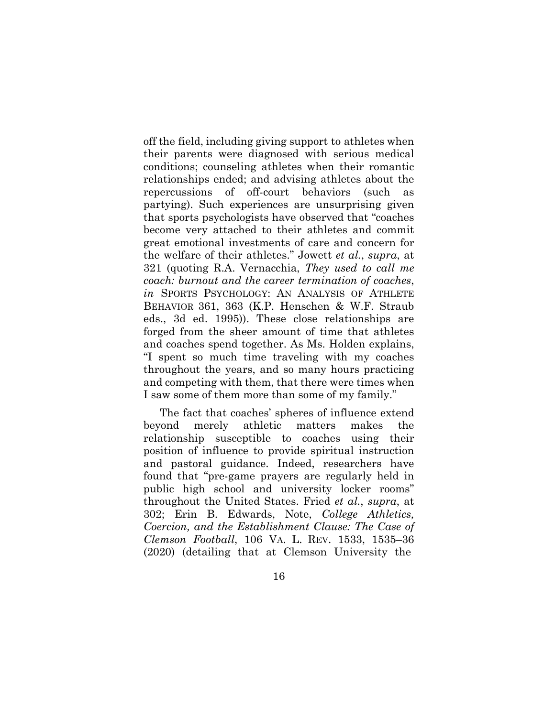off the field, including giving support to athletes when their parents were diagnosed with serious medical conditions; counseling athletes when their romantic relationships ended; and advising athletes about the repercussions of off-court behaviors (such as partying). Such experiences are unsurprising given that sports psychologists have observed that "coaches become very attached to their athletes and commit great emotional investments of care and concern for the welfare of their athletes." Jowett *et al.*, *supra*, at 321 (quoting R.A. Vernacchia, *They used to call me coach: burnout and the career termination of coaches*, *in* SPORTS PSYCHOLOGY: AN ANALYSIS OF ATHLETE BEHAVIOR 361, 363 (K.P. Henschen & W.F. Straub eds., 3d ed. 1995)). These close relationships are forged from the sheer amount of time that athletes and coaches spend together. As Ms. Holden explains, "I spent so much time traveling with my coaches throughout the years, and so many hours practicing and competing with them, that there were times when I saw some of them more than some of my family."

The fact that coaches' spheres of influence extend beyond merely athletic matters makes the relationship susceptible to coaches using their position of influence to provide spiritual instruction and pastoral guidance. Indeed, researchers have found that "pre-game prayers are regularly held in public high school and university locker rooms" throughout the United States. Fried *et al.*, *supra*, at 302; Erin B. Edwards, Note, *College Athletics, Coercion, and the Establishment Clause: The Case of Clemson Football*, 106 VA. L. REV. 1533, 1535–36 (2020) (detailing that at Clemson University the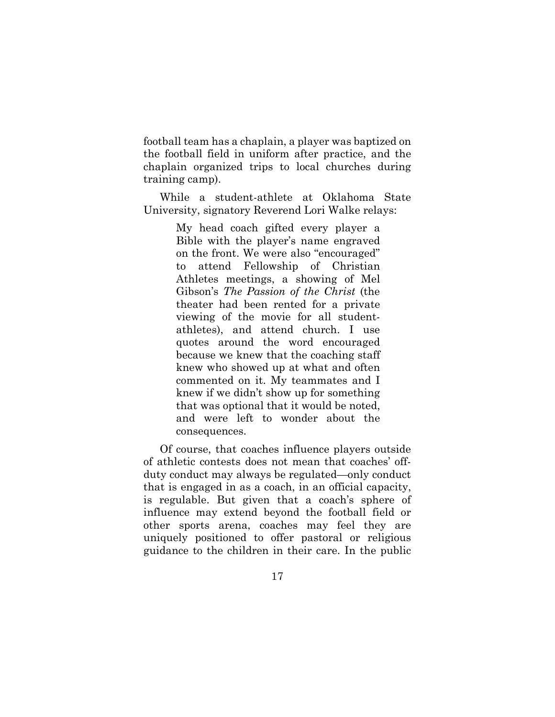football team has a chaplain, a player was baptized on the football field in uniform after practice, and the chaplain organized trips to local churches during training camp).

While a student-athlete at Oklahoma State University, signatory Reverend Lori Walke relays:

> My head coach gifted every player a Bible with the player's name engraved on the front. We were also "encouraged" to attend Fellowship of Christian Athletes meetings, a showing of Mel Gibson's *The Passion of the Christ* (the theater had been rented for a private viewing of the movie for all studentathletes), and attend church. I use quotes around the word encouraged because we knew that the coaching staff knew who showed up at what and often commented on it. My teammates and I knew if we didn't show up for something that was optional that it would be noted, and were left to wonder about the consequences.

Of course, that coaches influence players outside of athletic contests does not mean that coaches' offduty conduct may always be regulated—only conduct that is engaged in as a coach, in an official capacity, is regulable. But given that a coach's sphere of influence may extend beyond the football field or other sports arena, coaches may feel they are uniquely positioned to offer pastoral or religious guidance to the children in their care. In the public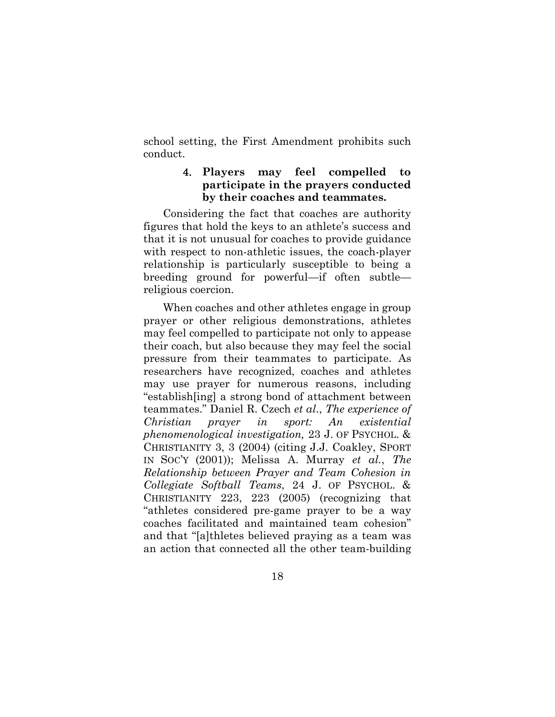school setting, the First Amendment prohibits such conduct.

### 4. **Players may feel compelled to participate in the prayers conducted by their coaches and teammates.**

Considering the fact that coaches are authority figures that hold the keys to an athlete's success and that it is not unusual for coaches to provide guidance with respect to non-athletic issues, the coach-player relationship is particularly susceptible to being a breeding ground for powerful—if often subtle religious coercion.

When coaches and other athletes engage in group prayer or other religious demonstrations, athletes may feel compelled to participate not only to appease their coach, but also because they may feel the social pressure from their teammates to participate. As researchers have recognized, coaches and athletes may use prayer for numerous reasons, including "establish[ing] a strong bond of attachment between teammates." Daniel R. Czech *et al*., *The experience of Christian prayer in sport: An existential phenomenological investigation,* 23 J. OF PSYCHOL. & CHRISTIANITY 3, 3 (2004) (citing J.J. Coakley, SPORT IN SOC'Y (2001)); Melissa A. Murray *et al.*, *The Relationship between Prayer and Team Cohesion in Collegiate Softball Teams*, 24 J. OF PSYCHOL. & CHRISTIANITY 223, 223 (2005) (recognizing that "athletes considered pre-game prayer to be a way coaches facilitated and maintained team cohesion" and that "[a]thletes believed praying as a team was an action that connected all the other team-building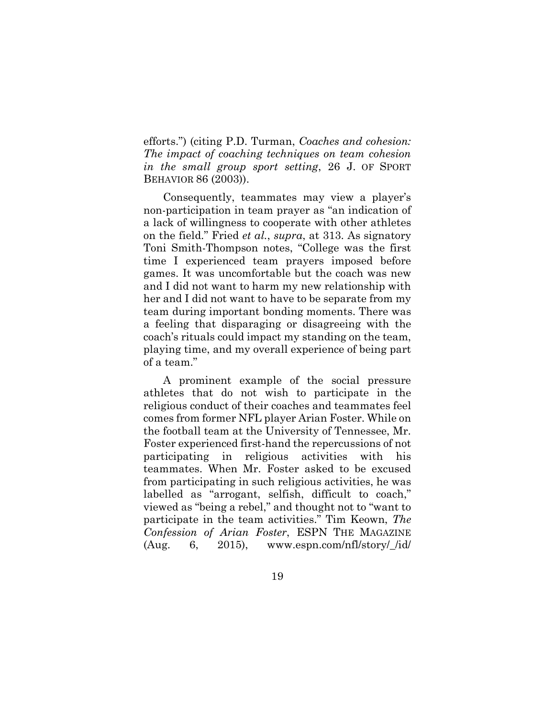efforts.") (citing P.D. Turman, *Coaches and cohesion: The impact of coaching techniques on team cohesion in the small group sport setting*, 26 J. OF SPORT BEHAVIOR 86 (2003)).

Consequently, teammates may view a player's non-participation in team prayer as "an indication of a lack of willingness to cooperate with other athletes on the field." Fried *et al.*, *supra*, at 313. As signatory Toni Smith-Thompson notes, "College was the first time I experienced team prayers imposed before games. It was uncomfortable but the coach was new and I did not want to harm my new relationship with her and I did not want to have to be separate from my team during important bonding moments. There was a feeling that disparaging or disagreeing with the coach's rituals could impact my standing on the team, playing time, and my overall experience of being part of a team."

A prominent example of the social pressure athletes that do not wish to participate in the religious conduct of their coaches and teammates feel comes from former NFL player Arian Foster. While on the football team at the University of Tennessee, Mr. Foster experienced first-hand the repercussions of not participating in religious activities with his teammates. When Mr. Foster asked to be excused from participating in such religious activities, he was labelled as "arrogant, selfish, difficult to coach," viewed as "being a rebel," and thought not to "want to participate in the team activities." Tim Keown, *The Confession of Arian Foster*, ESPN THE MAGAZINE  $(Aug. 6, 2015)$ , www.espn.com/nfl/story/\_/id/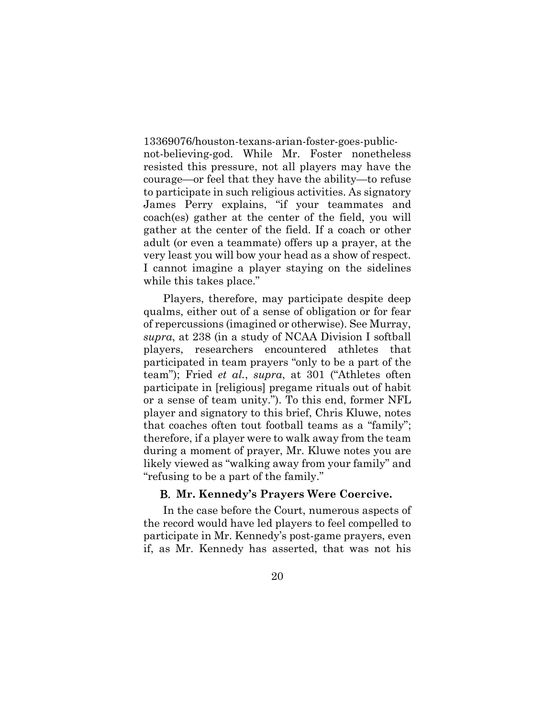13369076/houston-texans-arian-foster-goes-publicnot-believing-god. While Mr. Foster nonetheless resisted this pressure, not all players may have the courage—or feel that they have the ability—to refuse to participate in such religious activities. As signatory James Perry explains, "if your teammates and coach(es) gather at the center of the field, you will gather at the center of the field. If a coach or other adult (or even a teammate) offers up a prayer, at the very least you will bow your head as a show of respect. I cannot imagine a player staying on the sidelines while this takes place."

Players, therefore, may participate despite deep qualms, either out of a sense of obligation or for fear of repercussions (imagined or otherwise). See Murray, *supra*, at 238 (in a study of NCAA Division I softball players, researchers encountered athletes that participated in team prayers "only to be a part of the team"); Fried *et al.*, *supra*, at 301 ("Athletes often participate in [religious] pregame rituals out of habit or a sense of team unity."). To this end, former NFL player and signatory to this brief, Chris Kluwe, notes that coaches often tout football teams as a "family"; therefore, if a player were to walk away from the team during a moment of prayer, Mr. Kluwe notes you are likely viewed as "walking away from your family" and "refusing to be a part of the family."

#### B. **Mr. Kennedy's Prayers Were Coercive.**

In the case before the Court, numerous aspects of the record would have led players to feel compelled to participate in Mr. Kennedy's post-game prayers, even if, as Mr. Kennedy has asserted, that was not his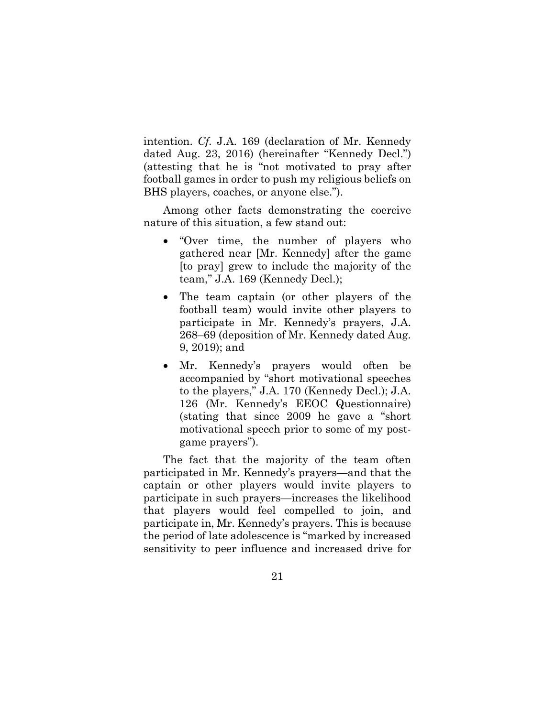intention. *Cf.* J.A. 169 (declaration of Mr. Kennedy dated Aug. 23, 2016) (hereinafter "Kennedy Decl.") (attesting that he is "not motivated to pray after football games in order to push my religious beliefs on BHS players, coaches, or anyone else.").

Among other facts demonstrating the coercive nature of this situation, a few stand out:

- "Over time, the number of players who gathered near [Mr. Kennedy] after the game [to pray] grew to include the majority of the team," J.A. 169 (Kennedy Decl.);
- The team captain (or other players of the football team) would invite other players to participate in Mr. Kennedy's prayers, J.A. 268–69 (deposition of Mr. Kennedy dated Aug. 9, 2019); and
- Mr. Kennedy's prayers would often be accompanied by "short motivational speeches to the players," J.A. 170 (Kennedy Decl.); J.A. 126 (Mr. Kennedy's EEOC Questionnaire) (stating that since 2009 he gave a "short motivational speech prior to some of my postgame prayers").

The fact that the majority of the team often participated in Mr. Kennedy's prayers—and that the captain or other players would invite players to participate in such prayers—increases the likelihood that players would feel compelled to join, and participate in, Mr. Kennedy's prayers. This is because the period of late adolescence is "marked by increased sensitivity to peer influence and increased drive for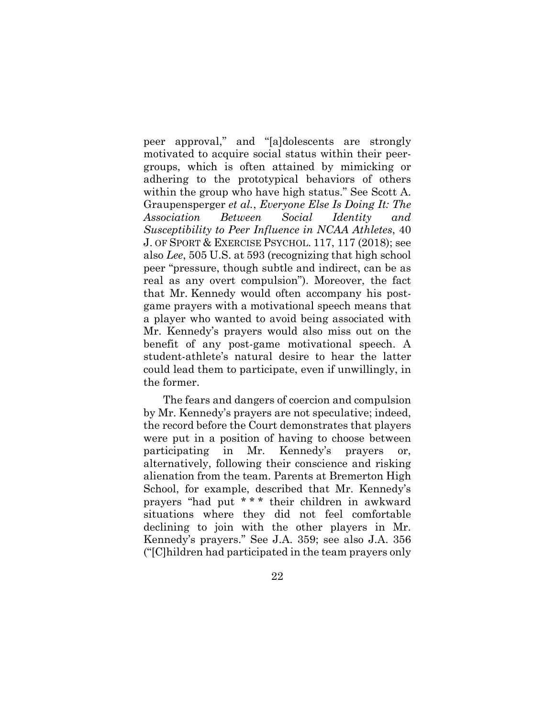peer approval," and "[a]dolescents are strongly motivated to acquire social status within their peergroups, which is often attained by mimicking or adhering to the prototypical behaviors of others within the group who have high status." See Scott A. Graupensperger *et al.*, *Everyone Else Is Doing It: The Association Between Social Identity and Susceptibility to Peer Influence in NCAA Athletes*, 40 J. OF SPORT & EXERCISE PSYCHOL. 117, 117 (2018); see also *Lee*, 505 U.S. at 593 (recognizing that high school peer "pressure, though subtle and indirect, can be as real as any overt compulsion"). Moreover, the fact that Mr. Kennedy would often accompany his postgame prayers with a motivational speech means that a player who wanted to avoid being associated with Mr. Kennedy's prayers would also miss out on the benefit of any post-game motivational speech. A student-athlete's natural desire to hear the latter could lead them to participate, even if unwillingly, in the former.

The fears and dangers of coercion and compulsion by Mr. Kennedy's prayers are not speculative; indeed, the record before the Court demonstrates that players were put in a position of having to choose between participating in Mr. Kennedy's prayers or, alternatively, following their conscience and risking alienation from the team. Parents at Bremerton High School, for example, described that Mr. Kennedy's prayers "had put \* \* \* their children in awkward situations where they did not feel comfortable declining to join with the other players in Mr. Kennedy's prayers." See J.A. 359; see also J.A. 356 ("[C]hildren had participated in the team prayers only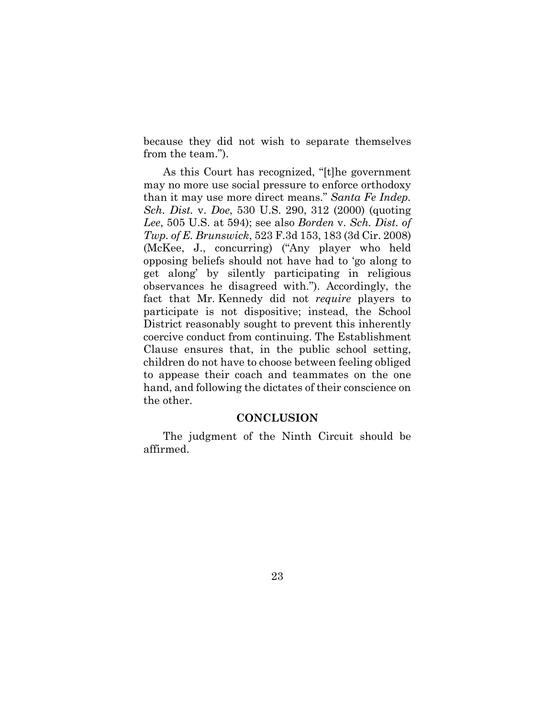because they did not wish to separate themselves from the team.").

As this Court has recognized, "[t]he government may no more use social pressure to enforce orthodoxy than it may use more direct means." *Santa Fe Indep. Sch. Dist.* v. *Doe*, 530 U.S. 290, 312 (2000) (quoting *Lee*, 505 U.S. at 594); see also *Borden* v. *Sch. Dist. of Twp. of E. Brunswick*, 523 F.3d 153, 183 (3d Cir. 2008) (McKee, J., concurring) ("Any player who held opposing beliefs should not have had to 'go along to get along' by silently participating in religious observances he disagreed with."). Accordingly, the fact that Mr. Kennedy did not *require* players to participate is not dispositive; instead, the School District reasonably sought to prevent this inherently coercive conduct from continuing. The Establishment Clause ensures that, in the public school setting, children do not have to choose between feeling obliged to appease their coach and teammates on the one hand, and following the dictates of their conscience on the other.

#### **CONCLUSION**

The judgment of the Ninth Circuit should be affirmed.